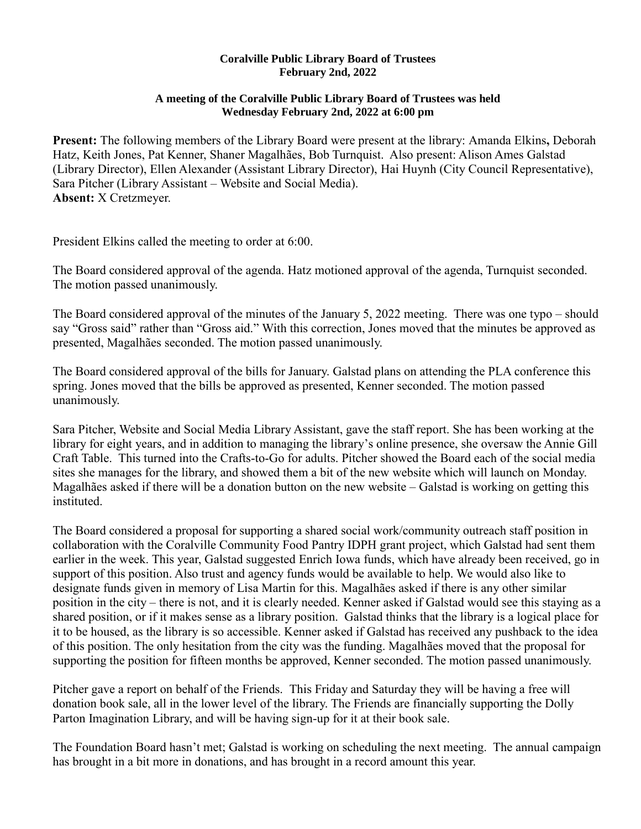## **Coralville Public Library Board of Trustees February 2nd, 2022**

## **A meeting of the Coralville Public Library Board of Trustees was held Wednesday February 2nd, 2022 at 6:00 pm**

**Present:** The following members of the Library Board were present at the library: Amanda Elkins**,** Deborah Hatz, Keith Jones, Pat Kenner, Shaner Magalhães, Bob Turnquist. Also present: Alison Ames Galstad (Library Director), Ellen Alexander (Assistant Library Director), Hai Huynh (City Council Representative), Sara Pitcher (Library Assistant – Website and Social Media). **Absent:** X Cretzmeyer.

President Elkins called the meeting to order at 6:00.

The Board considered approval of the agenda. Hatz motioned approval of the agenda, Turnquist seconded. The motion passed unanimously.

The Board considered approval of the minutes of the January 5, 2022 meeting. There was one typo – should say "Gross said" rather than "Gross aid." With this correction, Jones moved that the minutes be approved as presented, Magalhães seconded. The motion passed unanimously.

The Board considered approval of the bills for January. Galstad plans on attending the PLA conference this spring. Jones moved that the bills be approved as presented, Kenner seconded. The motion passed unanimously.

Sara Pitcher, Website and Social Media Library Assistant, gave the staff report. She has been working at the library for eight years, and in addition to managing the library's online presence, she oversaw the Annie Gill Craft Table. This turned into the Crafts-to-Go for adults. Pitcher showed the Board each of the social media sites she manages for the library, and showed them a bit of the new website which will launch on Monday. Magalhães asked if there will be a donation button on the new website – Galstad is working on getting this instituted.

The Board considered a proposal for supporting a shared social work/community outreach staff position in collaboration with the Coralville Community Food Pantry IDPH grant project, which Galstad had sent them earlier in the week. This year, Galstad suggested Enrich Iowa funds, which have already been received, go in support of this position. Also trust and agency funds would be available to help. We would also like to designate funds given in memory of Lisa Martin for this. Magalhães asked if there is any other similar position in the city – there is not, and it is clearly needed. Kenner asked if Galstad would see this staying as a shared position, or if it makes sense as a library position. Galstad thinks that the library is a logical place for it to be housed, as the library is so accessible. Kenner asked if Galstad has received any pushback to the idea of this position. The only hesitation from the city was the funding. Magalhães moved that the proposal for supporting the position for fifteen months be approved, Kenner seconded. The motion passed unanimously.

Pitcher gave a report on behalf of the Friends. This Friday and Saturday they will be having a free will donation book sale, all in the lower level of the library. The Friends are financially supporting the Dolly Parton Imagination Library, and will be having sign-up for it at their book sale.

The Foundation Board hasn't met; Galstad is working on scheduling the next meeting. The annual campaign has brought in a bit more in donations, and has brought in a record amount this year.